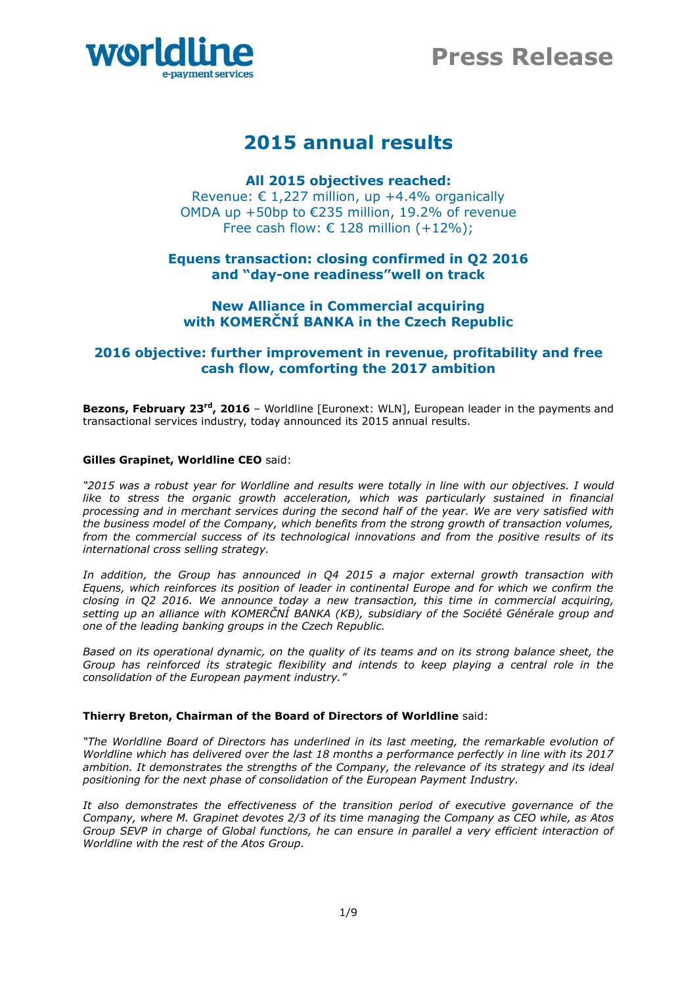



# **2015 annual results**

# **All 2015 objectives reached:**

Revenue: € 1,227 million, up +4.4% organically OMDA up +50bp to €235 million, 19.2% of revenue Free cash flow:  $\epsilon$  128 million (+12%);

# **Equens transaction: closing confirmed in Q2 2016 and "day-one readiness"well on track**

# **New Alliance in Commercial acquiring with KOMERČNÍ BANKA in the Czech Republic**

# **2016 objective: further improvement in revenue, profitability and free cash flow, comforting the 2017 ambition**

**Bezons, February 23<sup>rd</sup>, 2016** – Worldline [Euronext: WLN], European leader in the payments and transactional services industry, today announced its 2015 annual results.

# **Gilles Grapinet, Worldline CEO** said:

*"2015 was a robust year for Worldline and results were totally in line with our objectives. I would*  like to stress the organic growth acceleration, which was particularly sustained in financial *processing and in merchant services during the second half of the year. We are very satisfied with the business model of the Company, which benefits from the strong growth of transaction volumes, from the commercial success of its technological innovations and from the positive results of its international cross selling strategy.*

*In addition, the Group has announced in Q4 2015 a major external growth transaction with Equens, which reinforces its position of leader in continental Europe and for which we confirm the closing in Q2 2016. We announce today a new transaction, this time in commercial acquiring, setting up an alliance with KOMERČNÍ BANKA (KB), subsidiary of the Société Générale group and one of the leading banking groups in the Czech Republic.* 

*Based on its operational dynamic, on the quality of its teams and on its strong balance sheet, the Group has reinforced its strategic flexibility and intends to keep playing a central role in the consolidation of the European payment industry."*

# **Thierry Breton, Chairman of the Board of Directors of Worldline** said:

*"The Worldline Board of Directors has underlined in its last meeting, the remarkable evolution of Worldline which has delivered over the last 18 months a performance perfectly in line with its 2017 ambition. It demonstrates the strengths of the Company, the relevance of its strategy and its ideal positioning for the next phase of consolidation of the European Payment Industry.*

*It also demonstrates the effectiveness of the transition period of executive governance of the Company, where M. Grapinet devotes 2/3 of its time managing the Company as CEO while, as Atos Group SEVP in charge of Global functions, he can ensure in parallel a very efficient interaction of Worldline with the rest of the Atos Group.*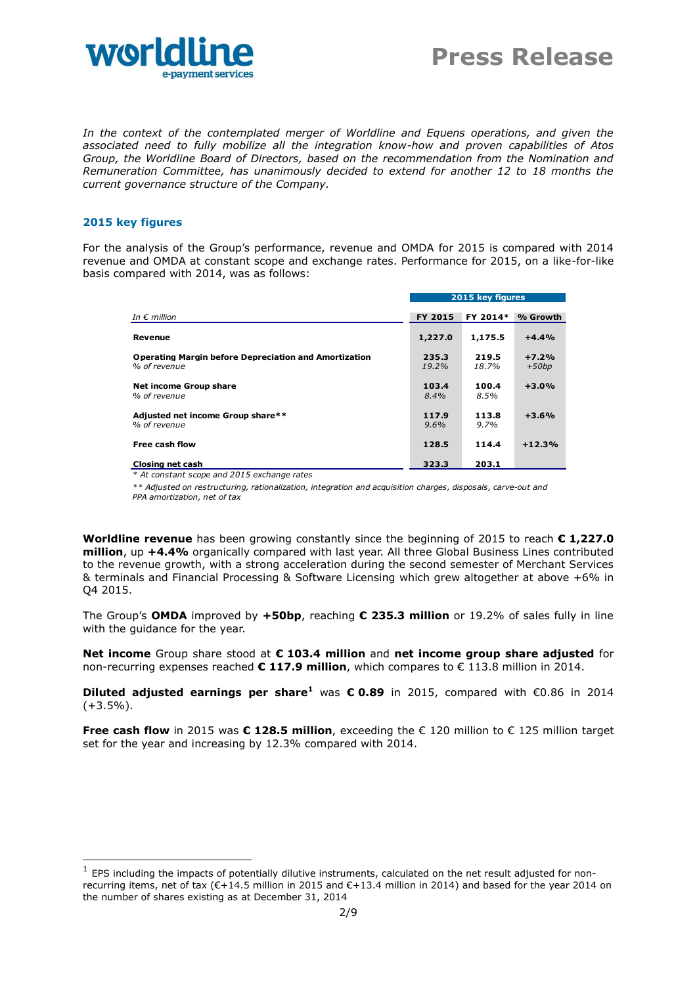

*In the context of the contemplated merger of Worldline and Equens operations, and given the associated need to fully mobilize all the integration know-how and proven capabilities of Atos Group, the Worldline Board of Directors, based on the recommendation from the Nomination and Remuneration Committee, has unanimously decided to extend for another 12 to 18 months the current governance structure of the Company.*

## **2015 key figures**

-

For the analysis of the Group's performance, revenue and OMDA for 2015 is compared with 2014 revenue and OMDA at constant scope and exchange rates. Performance for 2015, on a like-for-like basis compared with 2014, was as follows:

| TIPUTCU WILITZUIT, WUS USTUIJWS.                                             |                  |                |                    |
|------------------------------------------------------------------------------|------------------|----------------|--------------------|
|                                                                              | 2015 key figures |                |                    |
| In $\epsilon$ million                                                        | <b>FY 2015</b>   | FY 2014*       | % Growth           |
| Revenue                                                                      | 1,227.0          | 1,175.5        | $+4.4%$            |
| <b>Operating Margin before Depreciation and Amortization</b><br>% of revenue | 235.3<br>19.2%   | 219.5<br>18.7% | $+7.2%$<br>$+50bp$ |
| Net income Group share<br>% of revenue                                       | 103.4<br>$8.4\%$ | 100.4<br>8.5%  | $+3.0%$            |
| Adjusted net income Group share**<br>% of revenue                            | 117.9<br>9.6%    | 113.8<br>9.7%  | $+3.6%$            |
| Free cash flow                                                               | 128.5            | 114.4          | $+12.3%$           |
| Closing net cash                                                             | 323.3            | 203.1          |                    |

*\* At constant scope and 2015 exchange rates*

*\*\* Adjusted on restructuring, rationalization, integration and acquisition charges, disposals, carve-out and PPA amortization, net of tax*

**Worldline revenue** has been growing constantly since the beginning of 2015 to reach **€ 1,227.0 million**, up **+4.4%** organically compared with last year. All three Global Business Lines contributed to the revenue growth, with a strong acceleration during the second semester of Merchant Services & terminals and Financial Processing & Software Licensing which grew altogether at above +6% in Q4 2015.

The Group's **OMDA** improved by **+50bp**, reaching **€ 235.3 million** or 19.2% of sales fully in line with the guidance for the year.

**Net income** Group share stood at **€ 103.4 million** and **net income group share adjusted** for non-recurring expenses reached **€ 117.9 million**, which compares to € 113.8 million in 2014.

**Diluted adjusted earnings per share<sup>1</sup>** was **€ 0.89** in 2015, compared with €0.86 in 2014  $(+3.5\%)$ .

**Free cash flow** in 2015 was **€ 128.5 million**, exceeding the € 120 million to € 125 million target set for the year and increasing by 12.3% compared with 2014.

 $<sup>1</sup>$  EPS including the impacts of potentially dilutive instruments, calculated on the net result adjusted for non-</sup> recurring items, net of tax (€+14.5 million in 2015 and €+13.4 million in 2014) and based for the year 2014 on the number of shares existing as at December 31, 2014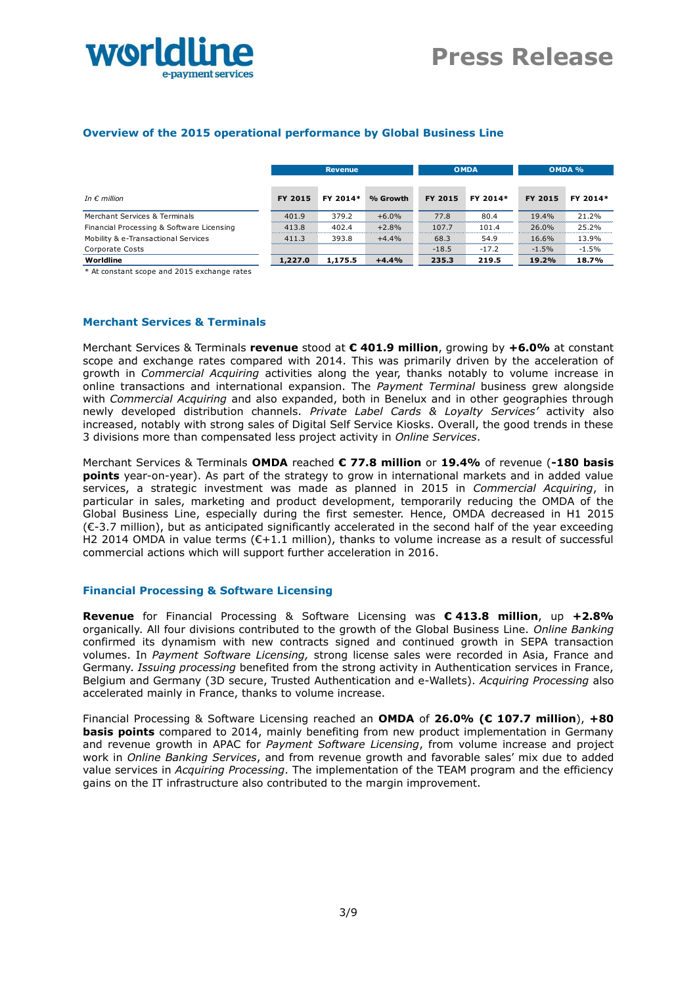

# **Overview of the 2015 operational performance by Global Business Line**

|                                           |                | <b>Revenue</b> |          |         | <b>OMDA</b> |         | OMDA %   |
|-------------------------------------------|----------------|----------------|----------|---------|-------------|---------|----------|
|                                           |                |                |          |         |             |         |          |
| In $\epsilon$ million                     | <b>FY 2015</b> | FY 2014*       | % Growth | FY 2015 | FY 2014*    | FY 2015 | FY 2014* |
| Merchant Services & Terminals             | 401.9          | 379.2          | $+6.0%$  | 77.8    | 80.4        | 19.4%   | 21.2%    |
| Financial Processing & Software Licensing | 413.8          | 402.4          | $+2.8%$  | 107.7   | 101.4       | 26.0%   | 25.2%    |
| Mobility & e-Transactional Services       | 411.3          | 393.8          | $+4.4%$  | 68.3    | 54.9        | 16.6%   | 13.9%    |
| Corporate Costs                           |                |                |          | $-18.5$ | $-17.2$     | $-1.5%$ | $-1.5%$  |
| Worldline                                 | 1,227.0        | 1,175.5        | $+4.4%$  | 235.3   | 219.5       | 19.2%   | 18.7%    |

\* At constant scope and 2015 exchange rates

#### **Merchant Services & Terminals**

Merchant Services & Terminals **revenue** stood at **€ 401.9 million**, growing by **+6.0%** at constant scope and exchange rates compared with 2014. This was primarily driven by the acceleration of growth in *Commercial Acquiring* activities along the year, thanks notably to volume increase in online transactions and international expansion. The *Payment Terminal* business grew alongside with *Commercial Acquiring* and also expanded, both in Benelux and in other geographies through newly developed distribution channels. *Private Label Cards & Loyalty Services'* activity also increased, notably with strong sales of Digital Self Service Kiosks. Overall, the good trends in these 3 divisions more than compensated less project activity in *Online Services*.

Merchant Services & Terminals **OMDA** reached **€ 77.8 million** or **19.4%** of revenue (**-180 basis points** year-on-year). As part of the strategy to grow in international markets and in added value services, a strategic investment was made as planned in 2015 in *Commercial Acquiring*, in particular in sales, marketing and product development, temporarily reducing the OMDA of the Global Business Line, especially during the first semester. Hence, OMDA decreased in H1 2015 (€-3.7 million), but as anticipated significantly accelerated in the second half of the year exceeding H2 2014 OMDA in value terms (€+1.1 million), thanks to volume increase as a result of successful commercial actions which will support further acceleration in 2016.

#### **Financial Processing & Software Licensing**

**Revenue** for Financial Processing & Software Licensing was **€ 413.8 million**, up **+2.8%** organically. All four divisions contributed to the growth of the Global Business Line. *Online Banking* confirmed its dynamism with new contracts signed and continued growth in SEPA transaction volumes. In *Payment Software Licensing,* strong license sales were recorded in Asia, France and Germany. *Issuing processing* benefited from the strong activity in Authentication services in France, Belgium and Germany (3D secure, Trusted Authentication and e-Wallets). *Acquiring Processing* also accelerated mainly in France, thanks to volume increase.

Financial Processing & Software Licensing reached an **OMDA** of **26.0% (€ 107.7 million**), **+80 basis points** compared to 2014, mainly benefiting from new product implementation in Germany and revenue growth in APAC for *Payment Software Licensing*, from volume increase and project work in *Online Banking Services*, and from revenue growth and favorable sales' mix due to added value services in *Acquiring Processing*. The implementation of the TEAM program and the efficiency gains on the IT infrastructure also contributed to the margin improvement.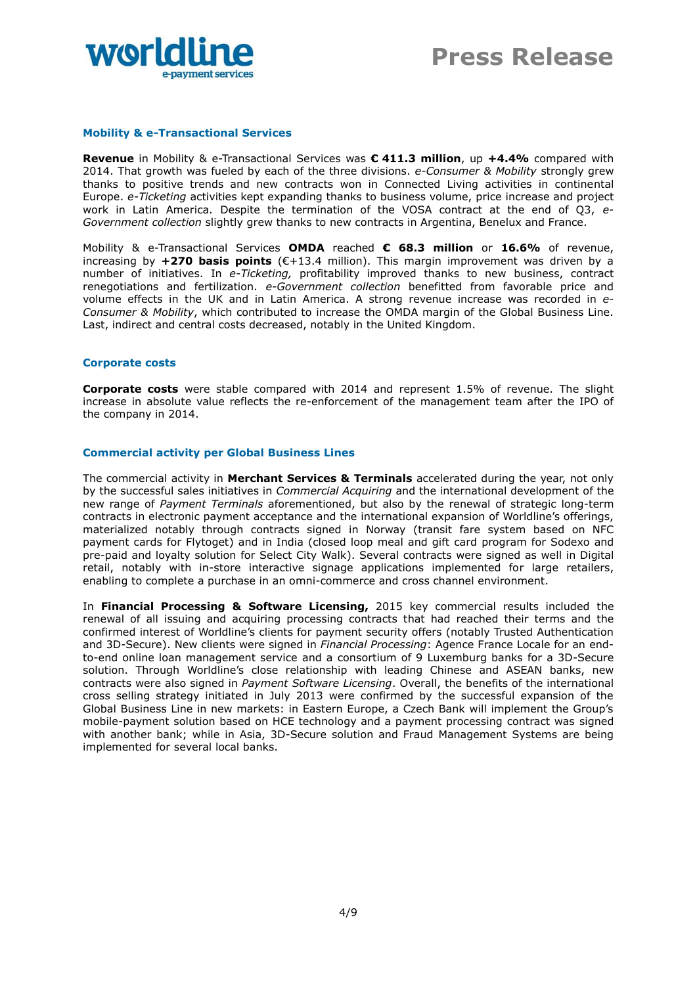

# **Mobility & e-Transactional Services**

**Revenue** in Mobility & e-Transactional Services was **€ 411.3 million**, up **+4.4%** compared with 2014. That growth was fueled by each of the three divisions. *e-Consumer & Mobility* strongly grew thanks to positive trends and new contracts won in Connected Living activities in continental Europe. *e-Ticketing* activities kept expanding thanks to business volume, price increase and project work in Latin America. Despite the termination of the VOSA contract at the end of Q3, *e-Government collection* slightly grew thanks to new contracts in Argentina, Benelux and France.

Mobility & e-Transactional Services **OMDA** reached **€ 68.3 million** or **16.6%** of revenue, increasing by **+270 basis points** (€+13.4 million). This margin improvement was driven by a number of initiatives. In *e-Ticketing,* profitability improved thanks to new business, contract renegotiations and fertilization. *e-Government collection* benefitted from favorable price and volume effects in the UK and in Latin America. A strong revenue increase was recorded in *e-Consumer & Mobility*, which contributed to increase the OMDA margin of the Global Business Line. Last, indirect and central costs decreased, notably in the United Kingdom.

#### **Corporate costs**

**Corporate costs** were stable compared with 2014 and represent 1.5% of revenue. The slight increase in absolute value reflects the re-enforcement of the management team after the IPO of the company in 2014.

## **Commercial activity per Global Business Lines**

The commercial activity in **Merchant Services & Terminals** accelerated during the year, not only by the successful sales initiatives in *Commercial Acquiring* and the international development of the new range of *Payment Terminals* aforementioned, but also by the renewal of strategic long-term contracts in electronic payment acceptance and the international expansion of Worldline's offerings, materialized notably through contracts signed in Norway (transit fare system based on NFC payment cards for Flytoget) and in India (closed loop meal and gift card program for Sodexo and pre-paid and loyalty solution for Select City Walk). Several contracts were signed as well in Digital retail, notably with in-store interactive signage applications implemented for large retailers, enabling to complete a purchase in an omni-commerce and cross channel environment.

In **Financial Processing & Software Licensing,** 2015 key commercial results included the renewal of all issuing and acquiring processing contracts that had reached their terms and the confirmed interest of Worldline's clients for payment security offers (notably Trusted Authentication and 3D-Secure). New clients were signed in *Financial Processing*: Agence France Locale for an endto-end online loan management service and a consortium of 9 Luxemburg banks for a 3D-Secure solution. Through Worldline's close relationship with leading Chinese and ASEAN banks, new contracts were also signed in *Payment Software Licensing*. Overall, the benefits of the international cross selling strategy initiated in July 2013 were confirmed by the successful expansion of the Global Business Line in new markets: in Eastern Europe, a Czech Bank will implement the Group's mobile-payment solution based on HCE technology and a payment processing contract was signed with another bank; while in Asia, 3D-Secure solution and Fraud Management Systems are being implemented for several local banks.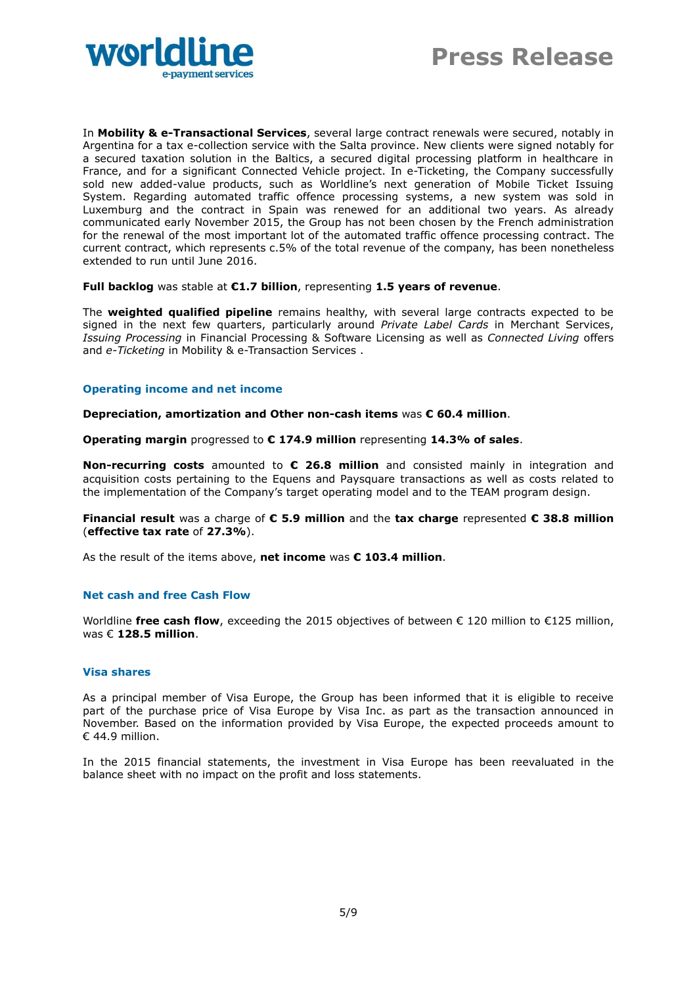

In **Mobility & e-Transactional Services**, several large contract renewals were secured, notably in Argentina for a tax e-collection service with the Salta province. New clients were signed notably for a secured taxation solution in the Baltics, a secured digital processing platform in healthcare in France, and for a significant Connected Vehicle project. In e-Ticketing, the Company successfully sold new added-value products, such as Worldline's next generation of Mobile Ticket Issuing System. Regarding automated traffic offence processing systems, a new system was sold in Luxemburg and the contract in Spain was renewed for an additional two years. As already communicated early November 2015, the Group has not been chosen by the French administration for the renewal of the most important lot of the automated traffic offence processing contract. The current contract, which represents c.5% of the total revenue of the company, has been nonetheless extended to run until June 2016.

**Full backlog** was stable at **€1.7 billion**, representing **1.5 years of revenue**.

The **weighted qualified pipeline** remains healthy, with several large contracts expected to be signed in the next few quarters, particularly around *Private Label Cards* in Merchant Services, *Issuing Processing* in Financial Processing & Software Licensing as well as *Connected Living* offers and *e-Ticketing* in Mobility & e-Transaction Services .

## **Operating income and net income**

**Depreciation, amortization and Other non-cash items** was **€ 60.4 million**.

**Operating margin** progressed to **€ 174.9 million** representing **14.3% of sales**.

**Non-recurring costs** amounted to **€ 26.8 million** and consisted mainly in integration and acquisition costs pertaining to the Equens and Paysquare transactions as well as costs related to the implementation of the Company's target operating model and to the TEAM program design.

**Financial result** was a charge of **€ 5.9 million** and the **tax charge** represented **€ 38.8 million**  (**effective tax rate** of **27.3%**).

As the result of the items above, **net income** was **€ 103.4 million**.

#### **Net cash and free Cash Flow**

Worldline **free cash flow**, exceeding the 2015 objectives of between € 120 million to €125 million, was € **128.5 million**.

#### **Visa shares**

As a principal member of Visa Europe, the Group has been informed that it is eligible to receive part of the purchase price of Visa Europe by Visa Inc. as part as the transaction announced in November. Based on the information provided by Visa Europe, the expected proceeds amount to € 44.9 million.

In the 2015 financial statements, the investment in Visa Europe has been reevaluated in the balance sheet with no impact on the profit and loss statements.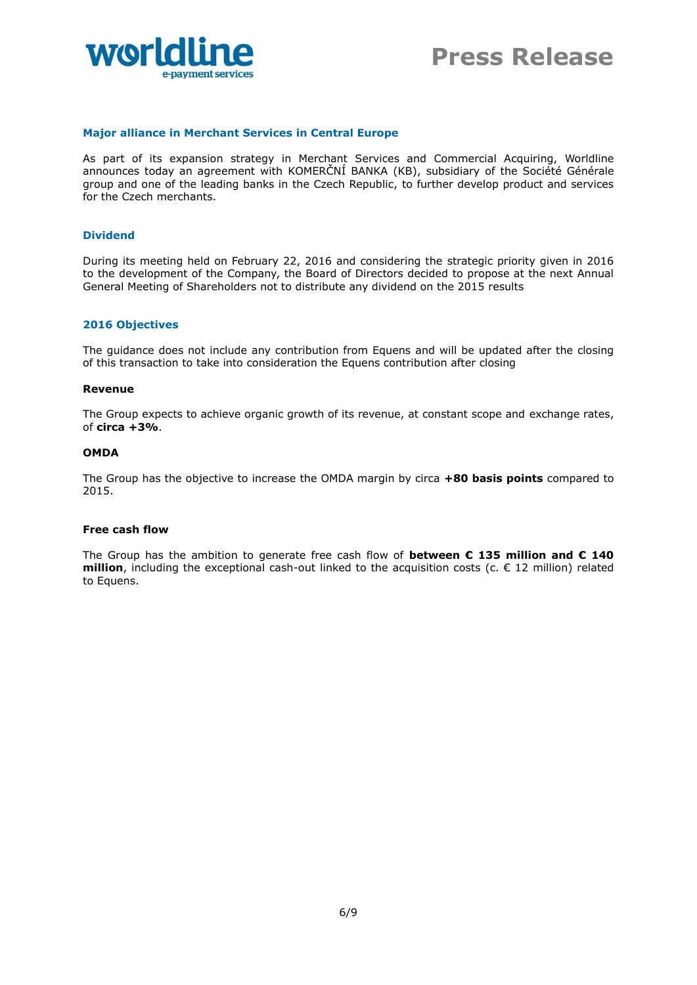

# **Major alliance in Merchant Services in Central Europe**

As part of its expansion strategy in Merchant Services and Commercial Acquiring, Worldline announces today an agreement with KOMERČNÍ BANKA (KB), subsidiary of the Société Générale group and one of the leading banks in the Czech Republic, to further develop product and services for the Czech merchants.

#### **Dividend**

During its meeting held on February 22, 2016 and considering the strategic priority given in 2016 to the development of the Company, the Board of Directors decided to propose at the next Annual General Meeting of Shareholders not to distribute any dividend on the 2015 results

#### **2016 Objectives**

The guidance does not include any contribution from Equens and will be updated after the closing of this transaction to take into consideration the Equens contribution after closing

#### **Revenue**

The Group expects to achieve organic growth of its revenue, at constant scope and exchange rates, of **circa +3%**.

#### **OMDA**

The Group has the objective to increase the OMDA margin by circa **+80 basis points** compared to 2015.

#### **Free cash flow**

The Group has the ambition to generate free cash flow of **between € 135 million and € 140 million**, including the exceptional cash-out linked to the acquisition costs (c.  $\epsilon$  12 million) related to Equens.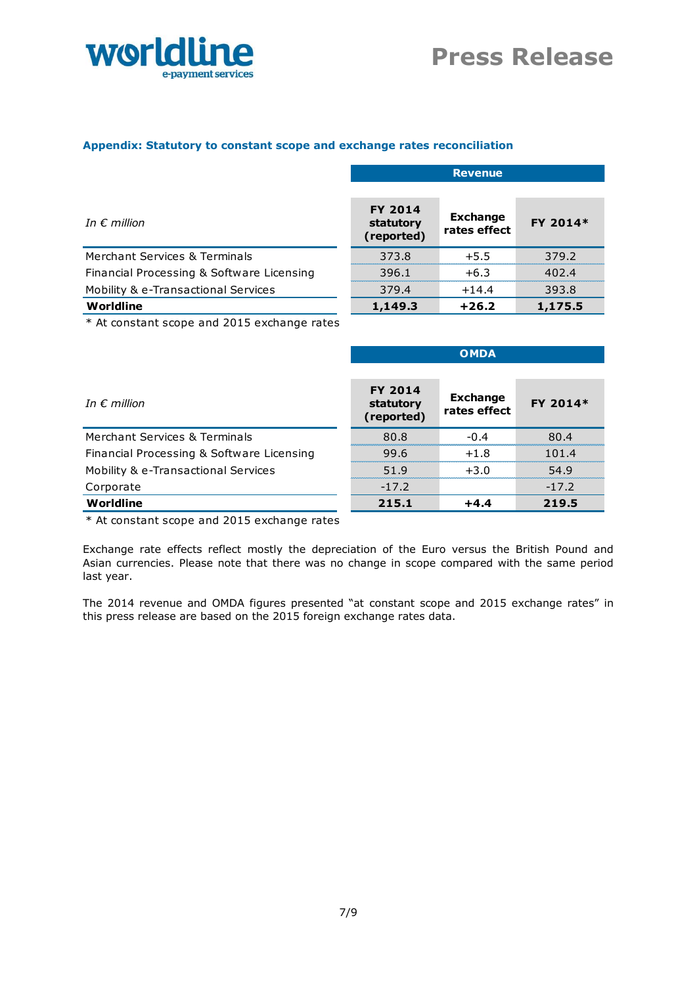

# **Appendix: Statutory to constant scope and exchange rates reconciliation**

|                                                            | <b>Revenue</b>                            |                                 |          |
|------------------------------------------------------------|-------------------------------------------|---------------------------------|----------|
| In $\epsilon$ million                                      | <b>FY 2014</b><br>statutory<br>(reported) | <b>Exchange</b><br>rates effect | FY 2014* |
| Merchant Services & Terminals                              | 373.8                                     | $+5.5$                          | 379.2    |
| Financial Processing & Software Licensing                  | 396.1                                     | $+6.3$                          | 402.4    |
| Mobility & e-Transactional Services                        | 379.4                                     | $+14.4$                         | 393.8    |
| Worldline                                                  | 1,149.3                                   | $+26.2$                         | 1,175.5  |
| $*$ At a satisfied a same and $2015$ surfaces as satisfied |                                           |                                 |          |

\* At constant scope and 2015 exchange rates

|                                           | <b>OMDA</b>                               |                                 |          |
|-------------------------------------------|-------------------------------------------|---------------------------------|----------|
|                                           |                                           |                                 |          |
| In $\epsilon$ million                     | <b>FY 2014</b><br>statutory<br>(reported) | <b>Exchange</b><br>rates effect | FY 2014* |
| Merchant Services & Terminals             | 80.8                                      | $-0.4$                          | 80.4     |
| Financial Processing & Software Licensing | 99.6                                      | $+1.8$                          | 101.4    |
| Mobility & e-Transactional Services       | 51.9                                      | $+3.0$                          | 54.9     |
| Corporate                                 | $-17.2$                                   |                                 | $-17.2$  |
| Worldline                                 | 215.1                                     | $+4.4$                          | 219.5    |

\* At constant scope and 2015 exchange rates

Exchange rate effects reflect mostly the depreciation of the Euro versus the British Pound and Asian currencies. Please note that there was no change in scope compared with the same period last year.

The 2014 revenue and OMDA figures presented "at constant scope and 2015 exchange rates" in this press release are based on the 2015 foreign exchange rates data.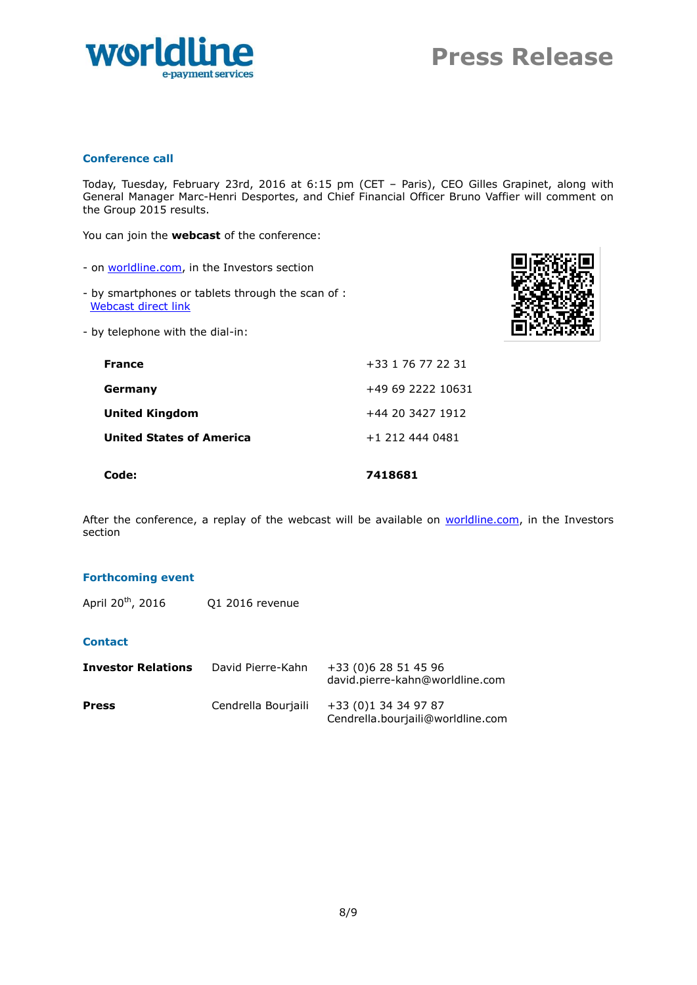

# **Conference call**

Today, Tuesday, February 23rd, 2016 at 6:15 pm (CET – Paris), CEO Gilles Grapinet, along with General Manager Marc-Henri Desportes, and Chief Financial Officer Bruno Vaffier will comment on the Group 2015 results.

You can join the **webcast** of the conference:

- on [worldline.com,](http://www.worldline.com/) in the Investors section
- by smartphones or tablets through the scan of : [Webcast direct link](http://edge.media-server.com/m/p/gahe7j33)
- by telephone with the dial-in:



| <b>France</b>                   | +33 1 76 77 22 31 |
|---------------------------------|-------------------|
| Germany                         | +49 69 2222 10631 |
| <b>United Kingdom</b>           | +44 20 3427 1912  |
| <b>United States of America</b> | +1 212 444 0481   |
|                                 |                   |

**Code: 7418681**

After the conference, a replay of the webcast will be available on [worldline.com,](http://www.worldline.com/) in the Investors section

#### **Forthcoming event**

April 20<sup>th</sup>, 2016 <br> Q1 2016 revenue

# **Contact**

| <b>Investor Relations</b> | David Pierre-Kahn   | +33 (0)6 28 51 45 96<br>david.pierre-kahn@worldline.com   |
|---------------------------|---------------------|-----------------------------------------------------------|
| <b>Press</b>              | Cendrella Bourjaili | +33 (0)1 34 34 97 87<br>Cendrella.bourjaili@worldline.com |